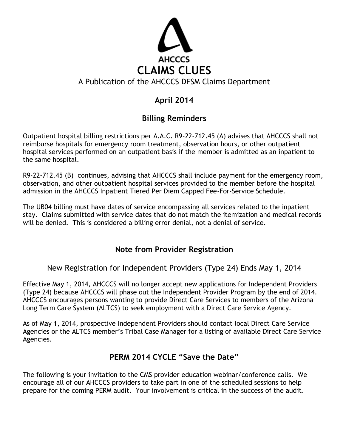

# **April 2014**

# **Billing Reminders**

Outpatient hospital billing restrictions per A.A.C. R9-22-712.45 (A) advises that AHCCCS shall not reimburse hospitals for emergency room treatment, observation hours, or other outpatient hospital services performed on an outpatient basis if the member is admitted as an inpatient to the same hospital.

R9-22-712.45 (B) continues, advising that AHCCCS shall include payment for the emergency room, observation, and other outpatient hospital services provided to the member before the hospital admission in the AHCCCS Inpatient Tiered Per Diem Capped Fee-For-Service Schedule.

The UB04 billing must have dates of service encompassing all services related to the inpatient stay. Claims submitted with service dates that do not match the itemization and medical records will be denied. This is considered a billing error denial, not a denial of service.

# **Note from Provider Registration**

New Registration for Independent Providers (Type 24) Ends May 1, 2014

Effective May 1, 2014, AHCCCS will no longer accept new applications for Independent Providers (Type 24) because AHCCCS will phase out the Independent Provider Program by the end of 2014. AHCCCS encourages persons wanting to provide Direct Care Services to members of the Arizona Long Term Care System (ALTCS) to seek employment with a Direct Care Service Agency.

As of May 1, 2014, prospective Independent Providers should contact local Direct Care Service Agencies or the ALTCS member's Tribal Case Manager for a listing of available Direct Care Service Agencies.

# **PERM 2014 CYCLE "Save the Date"**

The following is your invitation to the CMS provider education webinar/conference calls. We encourage all of our AHCCCS providers to take part in one of the scheduled sessions to help prepare for the coming PERM audit. Your involvement is critical in the success of the audit.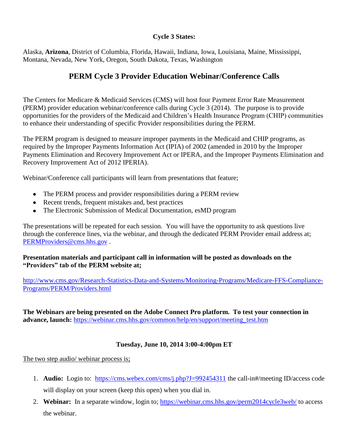## **Cycle 3 States:**

Alaska, **Arizona**, District of Columbia, Florida, Hawaii, Indiana, Iowa, Louisiana, Maine, Mississippi, Montana, Nevada, New York, Oregon, South Dakota, Texas, Washington

# **PERM Cycle 3 Provider Education Webinar/Conference Calls**

The Centers for Medicare & Medicaid Services (CMS) will host four Payment Error Rate Measurement (PERM) provider education webinar/conference calls during Cycle 3 (2014). The purpose is to provide opportunities for the providers of the Medicaid and Children's Health Insurance Program (CHIP) communities to enhance their understanding of specific Provider responsibilities during the PERM.

The PERM program is designed to measure improper payments in the Medicaid and CHIP programs, as required by the Improper Payments Information Act (IPIA) of 2002 (amended in 2010 by the Improper Payments Elimination and Recovery Improvement Act or IPERA, and the Improper Payments Elimination and Recovery Improvement Act of 2012 IPERIA).

Webinar/Conference call participants will learn from presentations that feature;

- The PERM process and provider responsibilities during a PERM review
- Recent trends, frequent mistakes and, best practices
- The Electronic Submission of Medical Documentation, esMD program

The presentations will be repeated for each session. You will have the opportunity to ask questions live through the conference lines, via the webinar, and through the dedicated PERM Provider email address at; [PERMProviders@cms.hhs.gov](mailto:PERMProviders@cms.hhs.gov) .

**Presentation materials and participant call in information will be posted as downloads on the "Providers" tab of the PERM website at;** 

[http://www.cms.gov/Research-Statistics-Data-and-Systems/Monitoring-Programs/Medicare-FFS-Compliance-](http://www.cms.gov/Research-Statistics-Data-and-Systems/Monitoring-Programs/Medicare-FFS-Compliance-Programs/PERM/Providers.html)[Programs/PERM/Providers.html](http://www.cms.gov/Research-Statistics-Data-and-Systems/Monitoring-Programs/Medicare-FFS-Compliance-Programs/PERM/Providers.html)

**The Webinars are being presented on the Adobe Connect Pro platform. To test your connection in advance, launch:** [https://webinar.cms.hhs.gov/common/help/en/support/meeting\\_test.htm](https://webinar.cms.hhs.gov/common/help/en/support/meeting_test.htm)

## **Tuesday, June 10, 2014 3:00-4:00pm ET**

The two step audio/ webinar process is;

- 1. **Audio:** Login to: <https://cms.webex.com/cms/j.php?J=992454311> the call-in#/meeting ID/access code will display on your screen (keep this open) when you dial in.
- 2. **Webinar:** In a separate window, login to;<https://webinar.cms.hhs.gov/perm2014cycle3web/> to access the webinar.